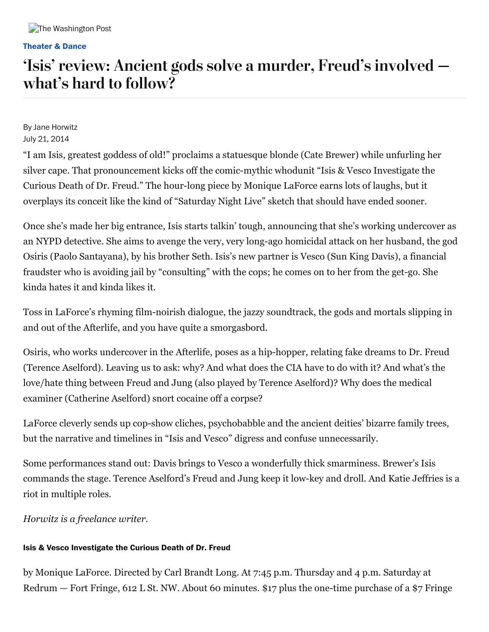#### **[Theater](https://www.washingtonpost.com/entertainment/theater-dance) & Dance**

## 'Isis' review: Ancient gods solve a murder, Freud's involved what's hard to follow?

By Jane Horwitz July 21, 2014

"I am Isis, greatest goddess of old!" proclaims a statuesque blonde (Cate Brewer) while unfurling her silver cape. That pronouncement kicks off the comic-mythic whodunit "Isis & Vesco Investigate the Curious Death of Dr. Freud." The hour-long piece by Monique LaForce earns lots of laughs, but it overplays its conceit like the kind of "Saturday Night Live" sketch that should have ended sooner.

Once she's made her big entrance, Isis starts talkin' tough, announcing that she's working undercover as an NYPD detective. She aims to avenge the very, very long-ago homicidal attack on her husband, the god Osiris (Paolo Santayana), by his brother Seth. Isis's new partner is Vesco (Sun King Davis), a financial fraudster who is avoiding jail by "consulting" with the cops; he comes on to her from the get-go. She kinda hates it and kinda likes it.

Toss in LaForce's rhyming film-noirish dialogue, the jazzy soundtrack, the gods and mortals slipping in and out of the Afterlife, and you have quite a smorgasbord.

Osiris, who works undercover in the Afterlife, poses as a hip-hopper, relating fake dreams to Dr. Freud (Terence Aselford). Leaving us to ask: why? And what does the CIA have to do with it? And what's the love/hate thing between Freud and Jung (also played by Terence Aselford)? Why does the medical examiner (Catherine Aselford) snort cocaine off a corpse?

LaForce cleverly sends up cop-show cliches, psychobabble and the ancient deities' bizarre family trees, but the narrative and timelines in "Isis and Vesco" digress and confuse unnecessarily.

Some performances stand out: Davis brings to Vesco a wonderfully thick smarminess. Brewer's Isis commands the stage. Terence Aselford's Freud and Jung keep it low-key and droll. And Katie Jeffries is a riot in multiple roles.

*Horwitz is a freelance writer.*

### **Isis & Vesco Investigate the Curious Death of Dr. Freud**

by Monique LaForce. Directed by Carl Brandt Long. At 7:45 p.m. Thursday and 4 p.m. Saturday at Redrum — Fort Fringe, 612 L St. NW. About 60 minutes. \$17 plus the one-time purchase of a \$7 Fringe